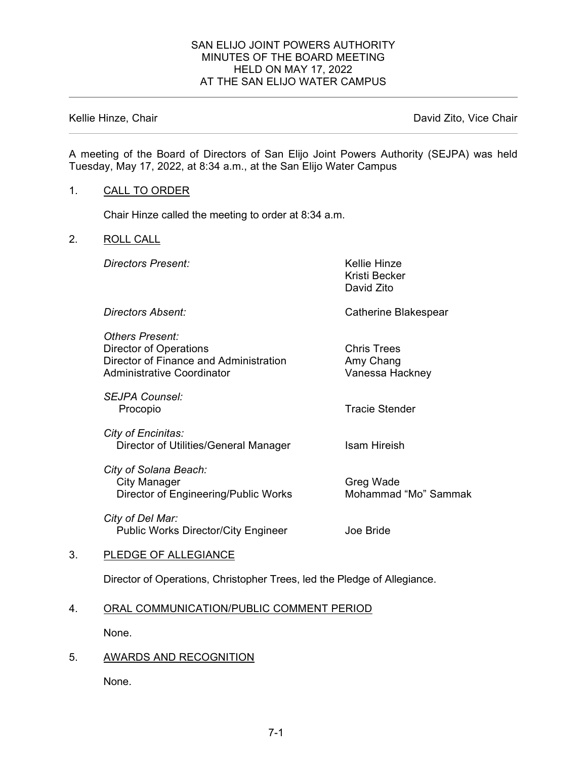## SAN ELIJO JOINT POWERS AUTHORITY MINUTES OF THE BOARD MEETING HELD ON MAY 17, 2022 AT THE SAN ELIJO WATER CAMPUS

Kellie Hinze, Chair **David Zito, Vice Chair** David Zito, Vice Chair

A meeting of the Board of Directors of San Elijo Joint Powers Authority (SEJPA) was held Tuesday, May 17, 2022, at 8:34 a.m., at the San Elijo Water Campus

### 1. CALL TO ORDER

Chair Hinze called the meeting to order at 8:34 a.m.

#### 2. ROLL CALL

**Directors Present:** Nellie Hinze

Kristi Becker David Zito

**Directors Absent: Catherine Blakespear** 

*Others Present:* Director of Operations **Chris Trees** Director of Finance and Administration **Amy Chang** Administrative Coordinator **Vanessa Hackney** 

*SEJPA Counsel:* Procopio **Tracie Stender** 

*City of Encinitas:* Director of Utilities/General Manager Isam Hireish

*City of Solana Beach:* City Manager Greg Wade Director of Engineering/Public Works Mohammad "Mo" Sammak

*City of Del Mar:* Public Works Director/City Engineer **Joe Bride** 

### 3. PLEDGE OF ALLEGIANCE

Director of Operations, Christopher Trees, led the Pledge of Allegiance.

### 4. ORAL COMMUNICATION/PUBLIC COMMENT PERIOD

None.

# 5. AWARDS AND RECOGNITION

None.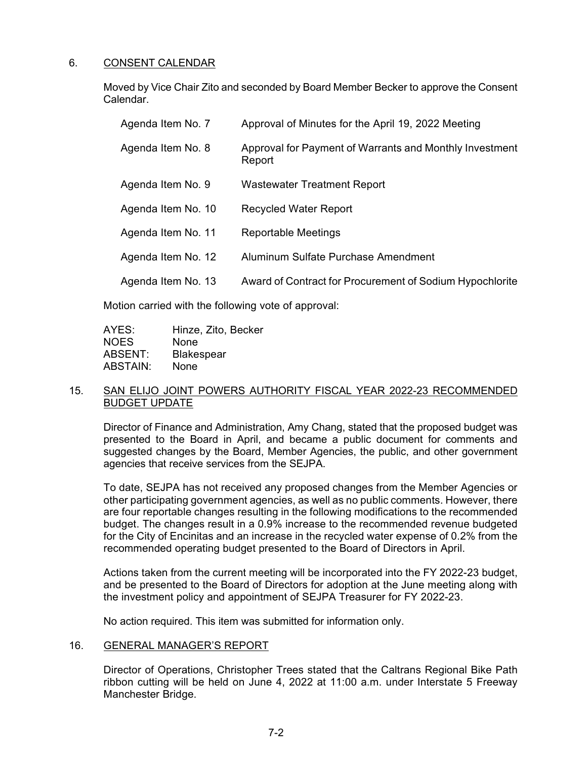# 6. CONSENT CALENDAR

Moved by Vice Chair Zito and seconded by Board Member Becker to approve the Consent Calendar.

| Agenda Item No. 7  | Approval of Minutes for the April 19, 2022 Meeting                |
|--------------------|-------------------------------------------------------------------|
| Agenda Item No. 8  | Approval for Payment of Warrants and Monthly Investment<br>Report |
| Agenda Item No. 9  | <b>Wastewater Treatment Report</b>                                |
| Agenda Item No. 10 | <b>Recycled Water Report</b>                                      |
| Agenda Item No. 11 | <b>Reportable Meetings</b>                                        |
| Agenda Item No. 12 | Aluminum Sulfate Purchase Amendment                               |
| Agenda Item No. 13 | Award of Contract for Procurement of Sodium Hypochlorite          |

Motion carried with the following vote of approval:

| AYES:       | Hinze, Zito, Becker |
|-------------|---------------------|
| <b>NOES</b> | None                |
| ABSENT:     | <b>Blakespear</b>   |
| ABSTAIN:    | None                |

## 15. SAN ELIJO JOINT POWERS AUTHORITY FISCAL YEAR 2022-23 RECOMMENDED BUDGET UPDATE

Director of Finance and Administration, Amy Chang, stated that the proposed budget was presented to the Board in April, and became a public document for comments and suggested changes by the Board, Member Agencies, the public, and other government agencies that receive services from the SEJPA.

To date, SEJPA has not received any proposed changes from the Member Agencies or other participating government agencies, as well as no public comments. However, there are four reportable changes resulting in the following modifications to the recommended budget. The changes result in a 0.9% increase to the recommended revenue budgeted for the City of Encinitas and an increase in the recycled water expense of 0.2% from the recommended operating budget presented to the Board of Directors in April.

Actions taken from the current meeting will be incorporated into the FY 2022-23 budget, and be presented to the Board of Directors for adoption at the June meeting along with the investment policy and appointment of SEJPA Treasurer for FY 2022-23.

No action required. This item was submitted for information only.

# 16. GENERAL MANAGER'S REPORT

Director of Operations, Christopher Trees stated that the Caltrans Regional Bike Path ribbon cutting will be held on June 4, 2022 at 11:00 a.m. under Interstate 5 Freeway Manchester Bridge.